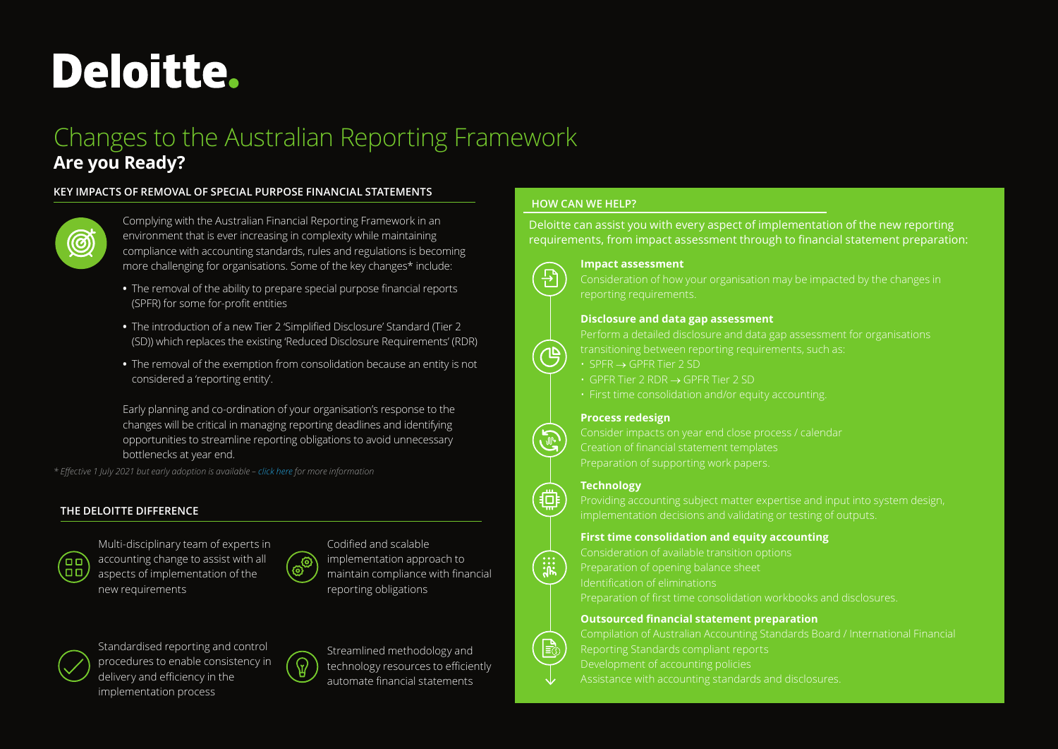# **Deloitte.**

## Changes to the Australian Reporting Framework **Are you Ready?**

#### **KEY IMPACTS OF REMOVAL OF SPECIAL PURPOSE FINANCIAL STATEMENTS**



Complying with the Australian Financial Reporting Framework in an environment that is ever increasing in complexity while maintaining compliance with accounting standards, rules and regulations is becoming more challenging for organisations. Some of the key changes\* include:

- **•** The removal of the ability to prepare special purpose financial reports (SPFR) for some for-profit entities
- **•** The introduction of a new Tier 2 'Simplified Disclosure' Standard (Tier 2 (SD)) which replaces the existing 'Reduced Disclosure Requirements' (RDR)
- **•** The removal of the exemption from consolidation because an entity is not considered a 'reporting entity'.

Early planning and co-ordination of your organisation's response to the changes will be critical in managing reporting deadlines and identifying opportunities to streamline reporting obligations to avoid unnecessary bottlenecks at year end.

*\* Effective 1 July 2021 but early adoption is available – [click here](https://www2.deloitte.com/content/dam/Deloitte/au/Documents/audit/deloitte-au-audit-clarity-financial-reporting-removal-spfs-180520.pdf) for more information* 

#### **THE DELOITTE DIFFERENCE**



Multi-disciplinary team of experts in accounting change to assist with all aspects of implementation of the new requirements



Codified and scalable implementation approach to maintain compliance with financial reporting obligations



Standardised reporting and control procedures to enable consistency in delivery and efficiency in the implementation process



Streamlined methodology and technology resources to efficiently automate financial statements

### **HOW CAN WE HELP?**

Deloitte can assist you with every aspect of implementation of the new reporting requirements, from impact assessment through to financial statement preparation:



#### **Impact assessment**

#### **Disclosure and data gap assessment**

Perform a detailed disclosure and data gap assessment for organisations

- $\cdot$  SPFR  $\rightarrow$  GPFR Tier 2 SD
- GPFR Tier 2 RDR → GPFR Tier 2 SD
- First time consolidation and/or equity accounting.

#### **Process redesign**

Creation of financial statement templates Preparation of supporting work papers.

#### **Technology**

Providing accounting subject matter expertise and input into system design, implementation decisions and validating or testing of outputs.

#### **First time consolidation and equity accounting**

Consideration of available transition options Preparation of opening balance sheet Identification of eliminations Preparation of first time consolidation workbooks and disclosures.

#### **Outsourced financial statement preparation**



Compilation of Australian Accounting Standards Board / International Financial Reporting Standards compliant reports Development of accounting policies Assistance with accounting standards and disclosures.